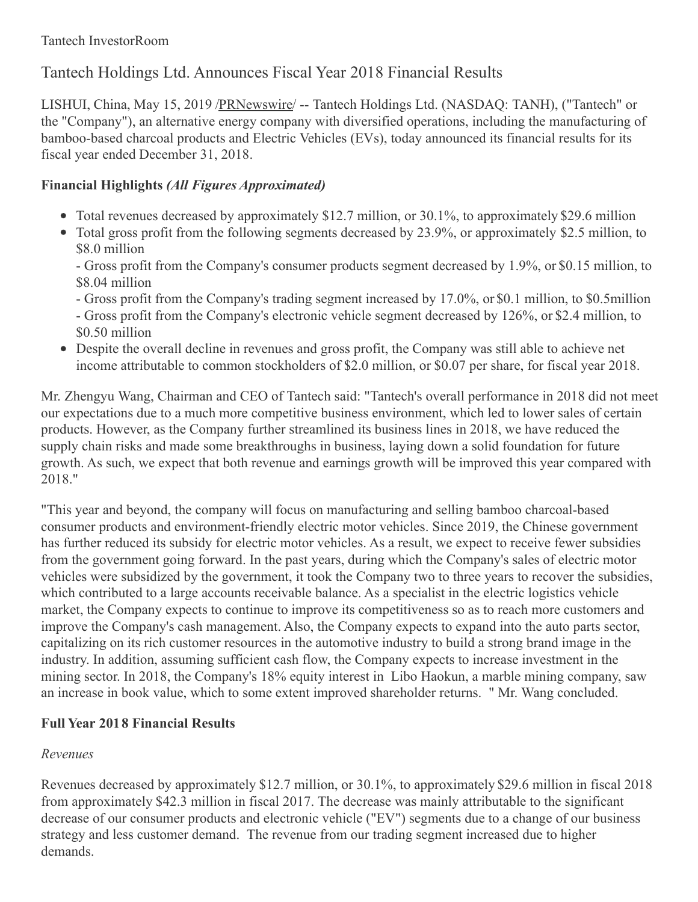# Tantech Holdings Ltd. Announces Fiscal Year 2018 Financial Results

LISHUI, China, May 15, 2019 [/PRNewswire](http://www.prnewswire.com/)/ -- Tantech Holdings Ltd. (NASDAQ: TANH), ("Tantech" or the "Company"), an alternative energy company with diversified operations, including the manufacturing of bamboo-based charcoal products and Electric Vehicles (EVs), today announced its financial results for its fiscal year ended December 31, 2018.

# **Financial Highlights** *(All Figures Approximated)*

- Total revenues decreased by approximately \$12.7 million, or 30.1%, to approximately \$29.6 million
- Total gross profit from the following segments decreased by 23.9%, or approximately \$2.5 million, to \$8.0 million

- Gross profit from the Company's consumer products segment decreased by 1.9%, or \$0.15 million, to \$8.04 million

- Gross profit from the Company's trading segment increased by 17.0%, or \$0.1 million, to \$0.5million - Gross profit from the Company's electronic vehicle segment decreased by 126%, or \$2.4 million, to \$0.50 million

Despite the overall decline in revenues and gross profit, the Company was still able to achieve net income attributable to common stockholders of \$2.0 million, or \$0.07 per share, for fiscal year 2018.

Mr. Zhengyu Wang, Chairman and CEO of Tantech said: "Tantech's overall performance in 2018 did not meet our expectations due to a much more competitive business environment, which led to lower sales of certain products. However, as the Company further streamlined its business lines in 2018, we have reduced the supply chain risks and made some breakthroughs in business, laying down a solid foundation for future growth. As such, we expect that both revenue and earnings growth will be improved this year compared with 2018."

"This year and beyond, the company will focus on manufacturing and selling bamboo charcoal-based consumer products and environment-friendly electric motor vehicles. Since 2019, the Chinese government has further reduced its subsidy for electric motor vehicles. As a result, we expect to receive fewer subsidies from the government going forward. In the past years, during which the Company's sales of electric motor vehicles were subsidized by the government, it took the Company two to three years to recover the subsidies, which contributed to a large accounts receivable balance. As a specialist in the electric logistics vehicle market, the Company expects to continue to improve its competitiveness so as to reach more customers and improve the Company's cash management. Also, the Company expects to expand into the auto parts sector, capitalizing on its rich customer resources in the automotive industry to build a strong brand image in the industry. In addition, assuming sufficient cash flow, the Company expects to increase investment in the mining sector. In 2018, the Company's 18% equity interest in Libo Haokun, a marble mining company, saw an increase in book value, which to some extent improved shareholder returns. " Mr. Wang concluded.

# **Full Year 2018 Financial Results**

# *Revenues*

Revenues decreased by approximately \$12.7 million, or 30.1%, to approximately \$29.6 million in fiscal 2018 from approximately \$42.3 million in fiscal 2017. The decrease was mainly attributable to the significant decrease of our consumer products and electronic vehicle ("EV") segments due to a change of our business strategy and less customer demand. The revenue from our trading segment increased due to higher demands.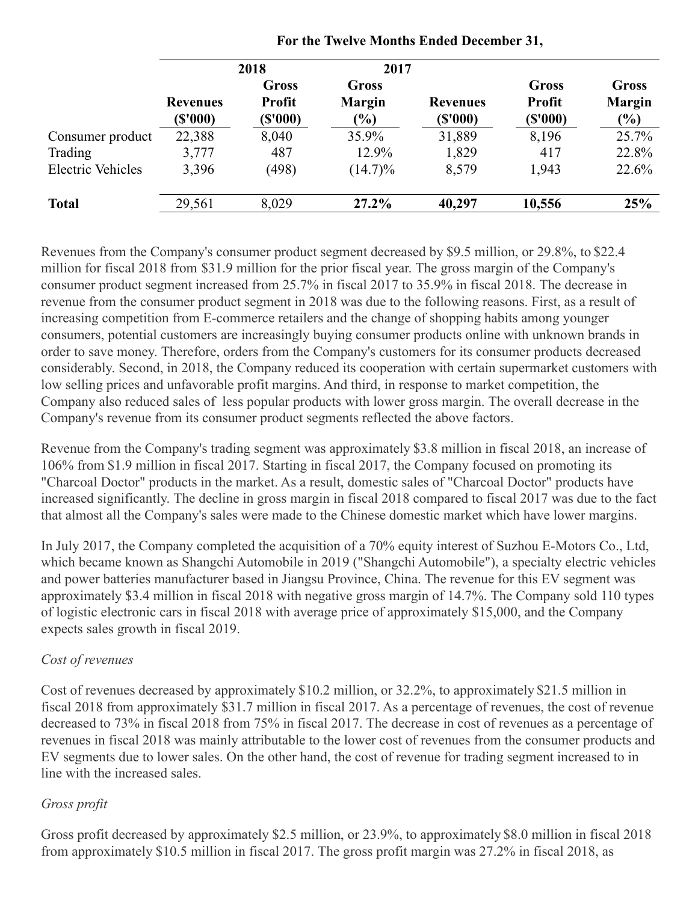|                          |                            | 2018                              | 2017                                    |                             |                                   |                                  |
|--------------------------|----------------------------|-----------------------------------|-----------------------------------------|-----------------------------|-----------------------------------|----------------------------------|
|                          | <b>Revenues</b><br>(S'000) | Gross<br><b>Profit</b><br>(S'000) | <b>Gross</b><br><b>Margin</b><br>$(\%)$ | <b>Revenues</b><br>(\$'000) | Gross<br><b>Profit</b><br>(S'000) | Gross<br><b>Margin</b><br>$(\%)$ |
| Consumer product         | 22,388                     | 8,040                             | 35.9%                                   | 31,889                      | 8,196                             | 25.7%                            |
| Trading                  | 3,777                      | 487                               | 12.9%                                   | 1,829                       | 417                               | 22.8%                            |
| <b>Electric Vehicles</b> | 3,396                      | (498)                             | $(14.7)\%$                              | 8,579                       | 1,943                             | 22.6%                            |
| <b>Total</b>             | 29,561                     | 8,029                             | 27.2%                                   | 40,297                      | 10,556                            | 25%                              |

#### **For the Twelve Months Ended December 31,**

Revenues from the Company's consumer product segment decreased by \$9.5 million, or 29.8%, to \$22.4 million for fiscal 2018 from \$31.9 million for the prior fiscal year. The gross margin of the Company's consumer product segment increased from 25.7% in fiscal 2017 to 35.9% in fiscal 2018. The decrease in revenue from the consumer product segment in 2018 was due to the following reasons. First, as a result of increasing competition from E-commerce retailers and the change of shopping habits among younger consumers, potential customers are increasingly buying consumer products online with unknown brands in order to save money. Therefore, orders from the Company's customers for its consumer products decreased considerably. Second, in 2018, the Company reduced its cooperation with certain supermarket customers with low selling prices and unfavorable profit margins. And third, in response to market competition, the Company also reduced sales of less popular products with lower gross margin. The overall decrease in the Company's revenue from its consumer product segments reflected the above factors.

Revenue from the Company's trading segment was approximately \$3.8 million in fiscal 2018, an increase of 106% from \$1.9 million in fiscal 2017. Starting in fiscal 2017, the Company focused on promoting its "Charcoal Doctor" products in the market. As a result, domestic sales of "Charcoal Doctor" products have increased significantly. The decline in gross margin in fiscal 2018 compared to fiscal 2017 was due to the fact that almost all the Company's sales were made to the Chinese domestic market which have lower margins.

In July 2017, the Company completed the acquisition of a 70% equity interest of Suzhou E-Motors Co., Ltd, which became known as Shangchi Automobile in 2019 ("Shangchi Automobile"), a specialty electric vehicles and power batteries manufacturer based in Jiangsu Province, China. The revenue for this EV segment was approximately \$3.4 million in fiscal 2018 with negative gross margin of 14.7%. The Company sold 110 types of logistic electronic cars in fiscal 2018 with average price of approximately \$15,000, and the Company expects sales growth in fiscal 2019.

## *Cost of revenues*

Cost of revenues decreased by approximately \$10.2 million, or 32.2%, to approximately \$21.5 million in fiscal 2018 from approximately \$31.7 million in fiscal 2017. As a percentage of revenues, the cost of revenue decreased to 73% in fiscal 2018 from 75% in fiscal 2017. The decrease in cost of revenues as a percentage of revenues in fiscal 2018 was mainly attributable to the lower cost of revenues from the consumer products and EV segments due to lower sales. On the other hand, the cost of revenue for trading segment increased to in line with the increased sales.

## *Gross profit*

Gross profit decreased by approximately \$2.5 million, or 23.9%, to approximately \$8.0 million in fiscal 2018 from approximately \$10.5 million in fiscal 2017. The gross profit margin was 27.2% in fiscal 2018, as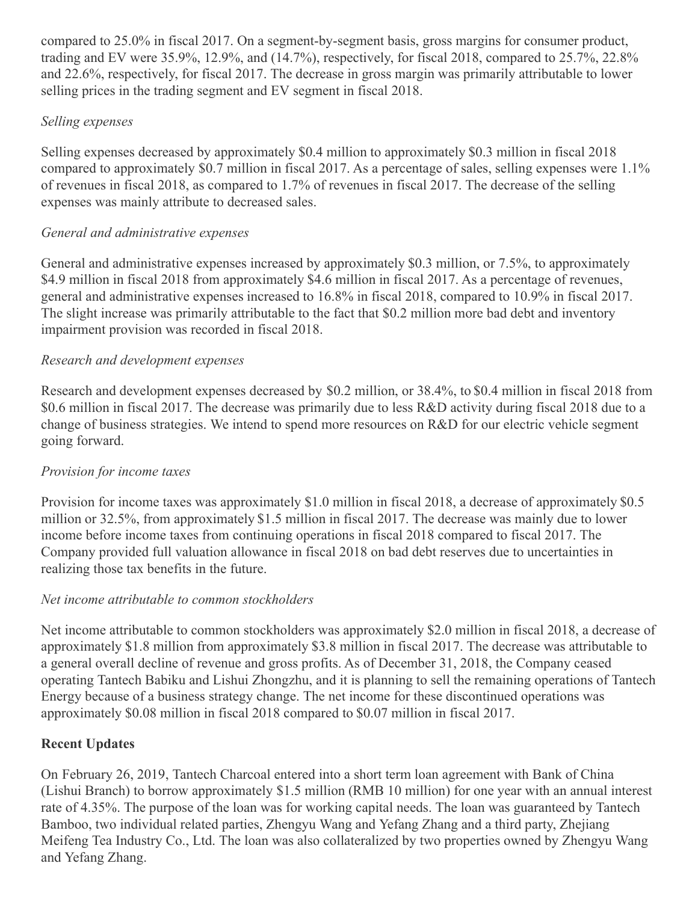compared to 25.0% in fiscal 2017. On a segment-by-segment basis, gross margins for consumer product, trading and EV were 35.9%, 12.9%, and (14.7%), respectively, for fiscal 2018, compared to 25.7%, 22.8% and 22.6%, respectively, for fiscal 2017. The decrease in gross margin was primarily attributable to lower selling prices in the trading segment and EV segment in fiscal 2018.

## *Selling expenses*

Selling expenses decreased by approximately \$0.4 million to approximately \$0.3 million in fiscal 2018 compared to approximately \$0.7 million in fiscal 2017. As a percentage of sales, selling expenses were 1.1% of revenues in fiscal 2018, as compared to 1.7% of revenues in fiscal 2017. The decrease of the selling expenses was mainly attribute to decreased sales.

## *General and administrative expenses*

General and administrative expenses increased by approximately \$0.3 million, or 7.5%, to approximately \$4.9 million in fiscal 2018 from approximately \$4.6 million in fiscal 2017. As a percentage of revenues, general and administrative expenses increased to 16.8% in fiscal 2018, compared to 10.9% in fiscal 2017. The slight increase was primarily attributable to the fact that \$0.2 million more bad debt and inventory impairment provision was recorded in fiscal 2018.

## *Research and development expenses*

Research and development expenses decreased by \$0.2 million, or 38.4%, to \$0.4 million in fiscal 2018 from \$0.6 million in fiscal 2017. The decrease was primarily due to less R&D activity during fiscal 2018 due to a change of business strategies. We intend to spend more resources on R&D for our electric vehicle segment going forward.

## *Provision for income taxes*

Provision for income taxes was approximately \$1.0 million in fiscal 2018, a decrease of approximately \$0.5 million or 32.5%, from approximately \$1.5 million in fiscal 2017. The decrease was mainly due to lower income before income taxes from continuing operations in fiscal 2018 compared to fiscal 2017. The Company provided full valuation allowance in fiscal 2018 on bad debt reserves due to uncertainties in realizing those tax benefits in the future.

# *Net income attributable to common stockholders*

Net income attributable to common stockholders was approximately \$2.0 million in fiscal 2018, a decrease of approximately \$1.8 million from approximately \$3.8 million in fiscal 2017. The decrease was attributable to a general overall decline of revenue and gross profits. As of December 31, 2018, the Company ceased operating Tantech Babiku and Lishui Zhongzhu, and it is planning to sell the remaining operations of Tantech Energy because of a business strategy change. The net income for these discontinued operations was approximately \$0.08 million in fiscal 2018 compared to \$0.07 million in fiscal 2017.

# **Recent Updates**

On February 26, 2019, Tantech Charcoal entered into a short term loan agreement with Bank of China (Lishui Branch) to borrow approximately \$1.5 million (RMB 10 million) for one year with an annual interest rate of 4.35%. The purpose of the loan was for working capital needs. The loan was guaranteed by Tantech Bamboo, two individual related parties, Zhengyu Wang and Yefang Zhang and a third party, Zhejiang Meifeng Tea Industry Co., Ltd. The loan was also collateralized by two properties owned by Zhengyu Wang and Yefang Zhang.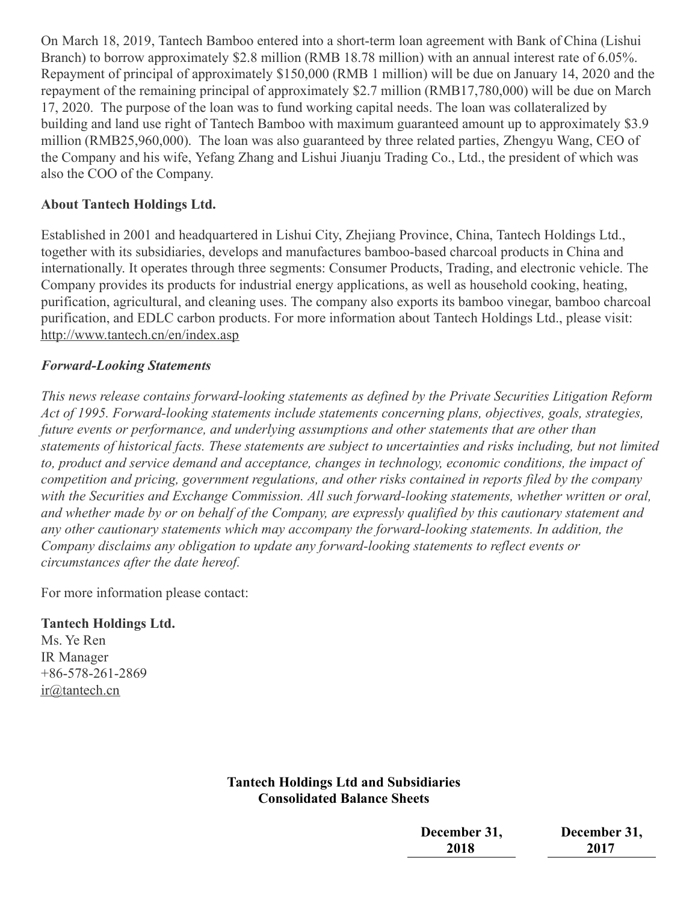On March 18, 2019, Tantech Bamboo entered into a short-term loan agreement with Bank of China (Lishui Branch) to borrow approximately \$2.8 million (RMB 18.78 million) with an annual interest rate of 6.05%. Repayment of principal of approximately \$150,000 (RMB 1 million) will be due on January 14, 2020 and the repayment of the remaining principal of approximately \$2.7 million (RMB17,780,000) will be due on March 17, 2020. The purpose of the loan was to fund working capital needs. The loan was collateralized by building and land use right of Tantech Bamboo with maximum guaranteed amount up to approximately \$3.9 million (RMB25,960,000). The loan was also guaranteed by three related parties, Zhengyu Wang, CEO of the Company and his wife, Yefang Zhang and Lishui Jiuanju Trading Co., Ltd., the president of which was also the COO of the Company.

#### **About Tantech Holdings Ltd.**

Established in 2001 and headquartered in Lishui City, Zhejiang Province, China, Tantech Holdings Ltd., together with its subsidiaries, develops and manufactures bamboo-based charcoal products in China and internationally. It operates through three segments: Consumer Products, Trading, and electronic vehicle. The Company provides its products for industrial energy applications, as well as household cooking, heating, purification, agricultural, and cleaning uses. The company also exports its bamboo vinegar, bamboo charcoal purification, and EDLC carbon products. For more information about Tantech Holdings Ltd., please visit: <http://www.tantech.cn/en/index.asp>

#### *Forward-Looking Statements*

*This news release contains forward-looking statements as defined by the Private Securities Litigation Reform Act of 1995. Forward-looking statements include statements concerning plans, objectives, goals, strategies, future events or performance, and underlying assumptions and other statements that are other than* statements of historical facts. These statements are subject to uncertainties and risks including, but not limited *to, product and service demand and acceptance, changes in technology, economic conditions, the impact of competition and pricing, government regulations, and other risks contained in reports filed by the company with the Securities and Exchange Commission. All such forward-looking statements, whether written or oral,* and whether made by or on behalf of the Company, are expressly qualified by this cautionary statement and *any other cautionary statements which may accompany the forward-looking statements. In addition, the Company disclaims any obligation to update any forward-looking statements to reflect events or circumstances after the date hereof.*

For more information please contact:

#### **Tantech Holdings Ltd.**

Ms. Ye Ren IR Manager +86-578-261-2869 [ir@tantech.cn](mailto:ir@tantech.cn)

## **Tantech Holdings Ltd and Subsidiaries Consolidated Balance Sheets**

| December 31, | December 31, |
|--------------|--------------|
| 2018         | 2017         |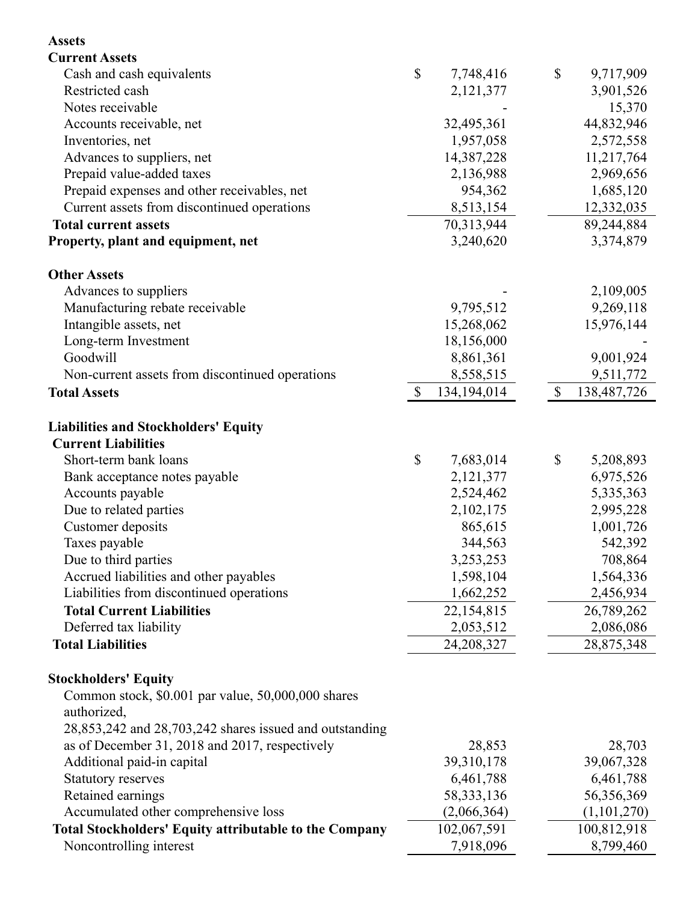| <b>Assets</b>                                                 |                           |              |              |             |
|---------------------------------------------------------------|---------------------------|--------------|--------------|-------------|
| <b>Current Assets</b>                                         |                           |              |              |             |
| Cash and cash equivalents                                     | $\boldsymbol{\mathsf{S}}$ | 7,748,416    | \$           | 9,717,909   |
| Restricted cash                                               |                           | 2,121,377    |              | 3,901,526   |
| Notes receivable                                              |                           |              |              | 15,370      |
| Accounts receivable, net                                      |                           | 32,495,361   |              | 44,832,946  |
| Inventories, net                                              |                           | 1,957,058    |              | 2,572,558   |
| Advances to suppliers, net                                    |                           | 14,387,228   |              | 11,217,764  |
| Prepaid value-added taxes                                     |                           | 2,136,988    |              | 2,969,656   |
| Prepaid expenses and other receivables, net                   |                           | 954,362      |              | 1,685,120   |
| Current assets from discontinued operations                   |                           | 8,513,154    |              | 12,332,035  |
| <b>Total current assets</b>                                   |                           | 70,313,944   |              | 89,244,884  |
| Property, plant and equipment, net                            |                           | 3,240,620    |              | 3,374,879   |
| <b>Other Assets</b>                                           |                           |              |              |             |
| Advances to suppliers                                         |                           |              |              | 2,109,005   |
| Manufacturing rebate receivable                               |                           | 9,795,512    |              | 9,269,118   |
| Intangible assets, net                                        |                           | 15,268,062   |              | 15,976,144  |
| Long-term Investment                                          |                           | 18,156,000   |              |             |
| Goodwill                                                      |                           | 8,861,361    |              | 9,001,924   |
| Non-current assets from discontinued operations               |                           | 8,558,515    |              | 9,511,772   |
| <b>Total Assets</b>                                           | $\mathbb{S}$              | 134,194,014  | $\mathbb{S}$ | 138,487,726 |
| <b>Liabilities and Stockholders' Equity</b>                   |                           |              |              |             |
| <b>Current Liabilities</b>                                    |                           |              |              |             |
| Short-term bank loans                                         | \$                        | 7,683,014    | \$           | 5,208,893   |
| Bank acceptance notes payable                                 |                           | 2,121,377    |              | 6,975,526   |
| Accounts payable                                              |                           | 2,524,462    |              | 5,335,363   |
| Due to related parties                                        |                           | 2,102,175    |              | 2,995,228   |
| Customer deposits                                             |                           | 865,615      |              | 1,001,726   |
| Taxes payable                                                 |                           | 344,563      |              | 542,392     |
| Due to third parties                                          |                           | 3,253,253    |              | 708,864     |
| Accrued liabilities and other payables                        |                           | 1,598,104    |              | 1,564,336   |
| Liabilities from discontinued operations                      |                           | 1,662,252    |              | 2,456,934   |
| <b>Total Current Liabilities</b>                              |                           | 22,154,815   |              | 26,789,262  |
| Deferred tax liability                                        |                           | 2,053,512    |              | 2,086,086   |
| <b>Total Liabilities</b>                                      |                           | 24,208,327   |              | 28,875,348  |
| <b>Stockholders' Equity</b>                                   |                           |              |              |             |
| Common stock, \$0.001 par value, 50,000,000 shares            |                           |              |              |             |
| authorized,                                                   |                           |              |              |             |
| 28,853,242 and 28,703,242 shares issued and outstanding       |                           |              |              |             |
| as of December 31, 2018 and 2017, respectively                |                           | 28,853       |              | 28,703      |
| Additional paid-in capital                                    |                           | 39,310,178   |              | 39,067,328  |
| <b>Statutory reserves</b>                                     |                           | 6,461,788    |              | 6,461,788   |
| Retained earnings                                             |                           | 58, 333, 136 |              | 56,356,369  |
| Accumulated other comprehensive loss                          |                           | (2,066,364)  |              | (1,101,270) |
| <b>Total Stockholders' Equity attributable to the Company</b> |                           | 102,067,591  |              | 100,812,918 |
| Noncontrolling interest                                       |                           | 7,918,096    |              | 8,799,460   |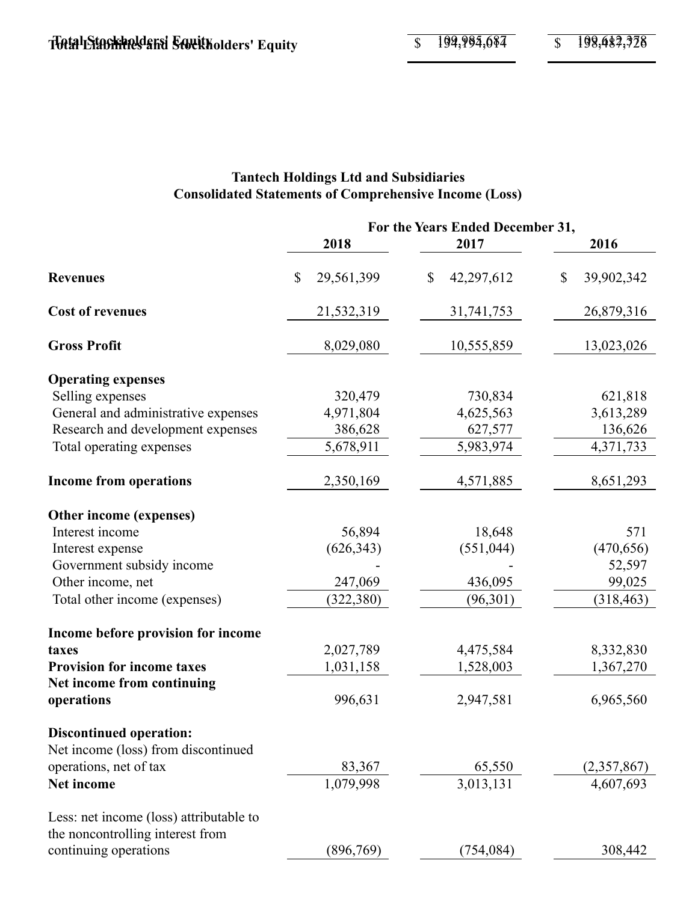## **Tantech Holdings Ltd and Subsidiaries Consolidated Statements of Comprehensive Income (Loss)**

|                                         |                  | For the Years Ended December 31, |                  |
|-----------------------------------------|------------------|----------------------------------|------------------|
|                                         | 2018             | 2017                             | 2016             |
| <b>Revenues</b>                         | 29,561,399<br>\$ | 42,297,612<br>\$                 | 39,902,342<br>\$ |
| <b>Cost of revenues</b>                 | 21,532,319       | 31,741,753                       | 26,879,316       |
| <b>Gross Profit</b>                     | 8,029,080        | 10,555,859                       | 13,023,026       |
| <b>Operating expenses</b>               |                  |                                  |                  |
| Selling expenses                        | 320,479          | 730,834                          | 621,818          |
| General and administrative expenses     | 4,971,804        | 4,625,563                        | 3,613,289        |
| Research and development expenses       | 386,628          | 627,577                          | 136,626          |
| Total operating expenses                | 5,678,911        | 5,983,974                        | 4,371,733        |
| <b>Income from operations</b>           | 2,350,169        | 4,571,885                        | 8,651,293        |
| Other income (expenses)                 |                  |                                  |                  |
| Interest income                         | 56,894           | 18,648                           | 571              |
| Interest expense                        | (626, 343)       | (551, 044)                       | (470, 656)       |
| Government subsidy income               |                  |                                  | 52,597           |
| Other income, net                       | 247,069          | 436,095                          | 99,025           |
| Total other income (expenses)           | (322, 380)       | (96, 301)                        | (318, 463)       |
| Income before provision for income      |                  |                                  |                  |
| taxes                                   | 2,027,789        | 4,475,584                        | 8,332,830        |
| <b>Provision for income taxes</b>       | 1,031,158        | 1,528,003                        | 1,367,270        |
| Net income from continuing              |                  |                                  |                  |
| operations                              | 996,631          | 2,947,581                        | 6,965,560        |
| <b>Discontinued operation:</b>          |                  |                                  |                  |
| Net income (loss) from discontinued     |                  |                                  |                  |
| operations, net of tax                  | 83,367           | 65,550                           | (2,357,867)      |
| Net income                              | 1,079,998        | 3,013,131                        | 4,607,693        |
| Less: net income (loss) attributable to |                  |                                  |                  |
| the noncontrolling interest from        |                  |                                  |                  |
| continuing operations                   | (896, 769)       | (754, 084)                       | 308,442          |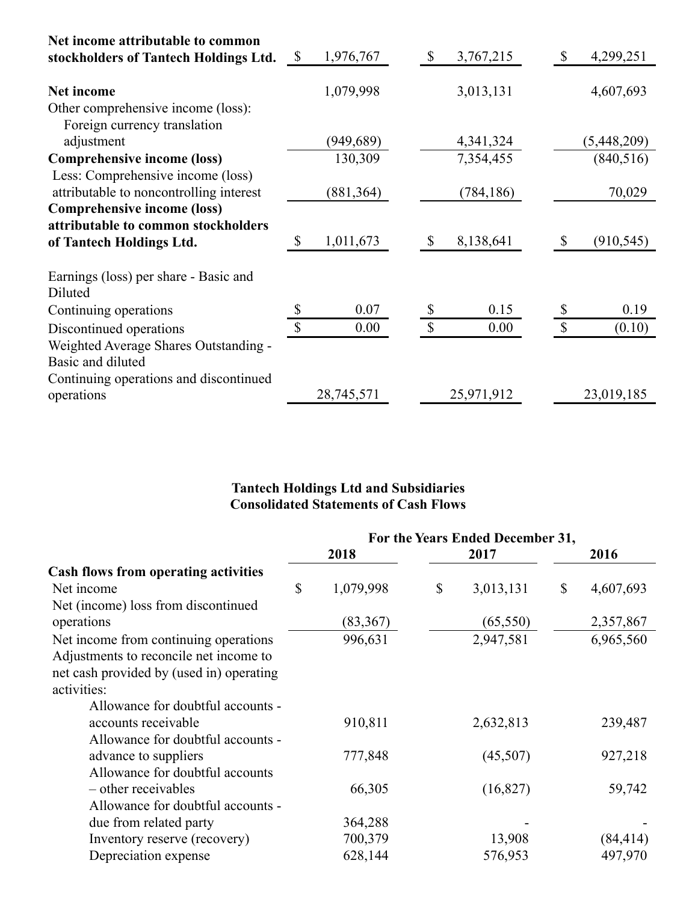| Net income attributable to common<br>stockholders of Tantech Holdings Ltd.   | \$<br>1,976,767 | S            | 3,767,215   |              | 4,299,251   |
|------------------------------------------------------------------------------|-----------------|--------------|-------------|--------------|-------------|
| <b>Net income</b>                                                            | 1,079,998       |              | 3,013,131   |              | 4,607,693   |
| Other comprehensive income (loss):<br>Foreign currency translation           |                 |              |             |              |             |
| adjustment                                                                   | (949, 689)      |              | 4, 341, 324 |              | (5,448,209) |
| <b>Comprehensive income (loss)</b>                                           | 130,309         |              | 7,354,455   |              | (840, 516)  |
| Less: Comprehensive income (loss)<br>attributable to noncontrolling interest | (881, 364)      |              | (784, 186)  |              | 70,029      |
| <b>Comprehensive income (loss)</b>                                           |                 |              |             |              |             |
| attributable to common stockholders                                          |                 |              |             |              |             |
| of Tantech Holdings Ltd.                                                     | \$<br>1,011,673 |              | 8,138,641   |              | (910, 545)  |
| Earnings (loss) per share - Basic and<br>Diluted                             |                 |              |             |              |             |
| Continuing operations                                                        | 0.07            |              | 0.15        |              | 0.19        |
| Discontinued operations                                                      | \$<br>0.00      | $\mathbb{S}$ | 0.00        | $\mathbb{S}$ | (0.10)      |
| Weighted Average Shares Outstanding -                                        |                 |              |             |              |             |
| Basic and diluted                                                            |                 |              |             |              |             |
| Continuing operations and discontinued                                       |                 |              |             |              |             |
| operations                                                                   | 28,745,571      |              | 25,971,912  |              | 23,019,185  |

#### **Tantech Holdings Ltd and Subsidiaries Consolidated Statements of Cash Flows**

|                                          | For the Years Ended December 31, |           |    |           |                 |
|------------------------------------------|----------------------------------|-----------|----|-----------|-----------------|
|                                          |                                  | 2018      |    | 2017      | 2016            |
| Cash flows from operating activities     |                                  |           |    |           |                 |
| Net income                               | \$                               | 1,079,998 | \$ | 3,013,131 | \$<br>4,607,693 |
| Net (income) loss from discontinued      |                                  |           |    |           |                 |
| operations                               |                                  | (83, 367) |    | (65, 550) | 2,357,867       |
| Net income from continuing operations    |                                  | 996,631   |    | 2,947,581 | 6,965,560       |
| Adjustments to reconcile net income to   |                                  |           |    |           |                 |
| net cash provided by (used in) operating |                                  |           |    |           |                 |
| activities:                              |                                  |           |    |           |                 |
| Allowance for doubtful accounts -        |                                  |           |    |           |                 |
| accounts receivable                      |                                  | 910,811   |    | 2,632,813 | 239,487         |
| Allowance for doubtful accounts -        |                                  |           |    |           |                 |
| advance to suppliers                     |                                  | 777,848   |    | (45,507)  | 927,218         |
| Allowance for doubtful accounts          |                                  |           |    |           |                 |
| - other receivables                      |                                  | 66,305    |    | (16,827)  | 59,742          |
| Allowance for doubtful accounts -        |                                  |           |    |           |                 |
| due from related party                   |                                  | 364,288   |    |           |                 |
| Inventory reserve (recovery)             |                                  | 700,379   |    | 13,908    | (84, 414)       |
| Depreciation expense                     |                                  | 628,144   |    | 576,953   | 497,970         |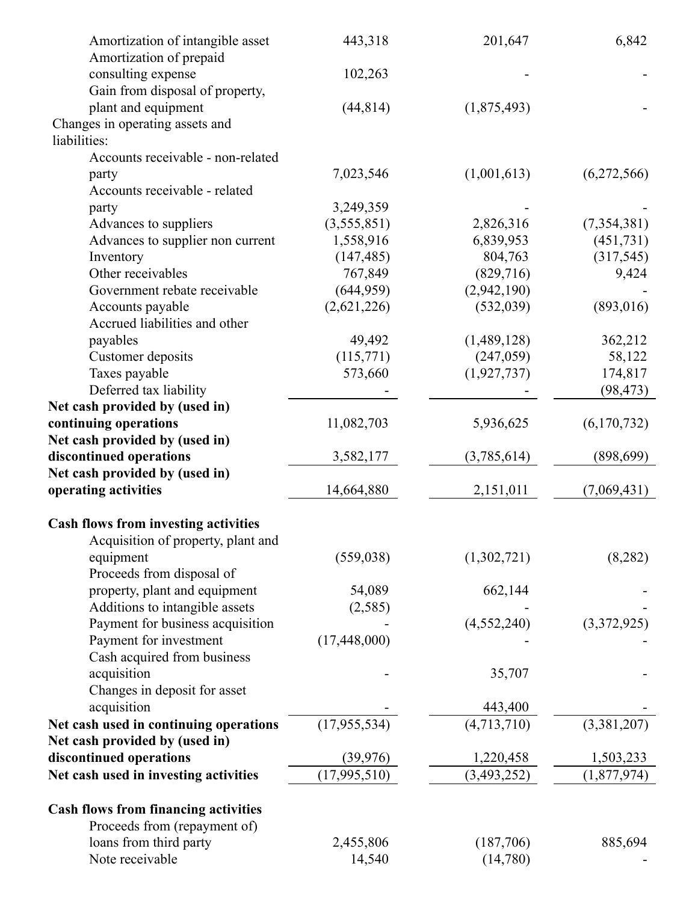| Amortization of intangible asset<br>Amortization of prepaid | 443,318        | 201,647       | 6,842       |
|-------------------------------------------------------------|----------------|---------------|-------------|
|                                                             | 102,263        |               |             |
| consulting expense                                          |                |               |             |
| Gain from disposal of property,<br>plant and equipment      | (44, 814)      |               |             |
|                                                             |                | (1,875,493)   |             |
| Changes in operating assets and                             |                |               |             |
| liabilities:                                                |                |               |             |
| Accounts receivable - non-related                           |                |               |             |
| party                                                       | 7,023,546      | (1,001,613)   | (6,272,566) |
| Accounts receivable - related                               |                |               |             |
| party                                                       | 3,249,359      |               |             |
| Advances to suppliers                                       | (3,555,851)    | 2,826,316     | (7,354,381) |
| Advances to supplier non current                            | 1,558,916      | 6,839,953     | (451, 731)  |
| Inventory                                                   | (147, 485)     | 804,763       | (317, 545)  |
| Other receivables                                           | 767,849        | (829,716)     | 9,424       |
| Government rebate receivable                                | (644, 959)     | (2,942,190)   |             |
| Accounts payable                                            | (2,621,226)    | (532, 039)    | (893, 016)  |
| Accrued liabilities and other                               |                |               |             |
| payables                                                    | 49,492         | (1,489,128)   | 362,212     |
| Customer deposits                                           | (115,771)      | (247,059)     | 58,122      |
| Taxes payable                                               | 573,660        | (1,927,737)   | 174,817     |
| Deferred tax liability                                      |                |               | (98, 473)   |
| Net cash provided by (used in)                              |                |               |             |
| continuing operations                                       | 11,082,703     | 5,936,625     | (6,170,732) |
| Net cash provided by (used in)                              |                |               |             |
| discontinued operations                                     | 3,582,177      | (3,785,614)   | (898, 699)  |
| Net cash provided by (used in)                              |                |               |             |
| operating activities                                        | 14,664,880     | 2,151,011     | (7,069,431) |
| <b>Cash flows from investing activities</b>                 |                |               |             |
| Acquisition of property, plant and                          |                |               |             |
| equipment                                                   | (559, 038)     | (1,302,721)   | (8, 282)    |
| Proceeds from disposal of                                   |                |               |             |
| property, plant and equipment                               | 54,089         | 662,144       |             |
| Additions to intangible assets                              | (2,585)        |               |             |
| Payment for business acquisition                            |                | (4,552,240)   | (3,372,925) |
| Payment for investment                                      | (17, 448, 000) |               |             |
| Cash acquired from business                                 |                |               |             |
| acquisition                                                 |                | 35,707        |             |
| Changes in deposit for asset                                |                |               |             |
| acquisition                                                 |                | 443,400       |             |
|                                                             | (17, 955, 534) | (4,713,710)   |             |
| Net cash used in continuing operations                      |                |               | (3,381,207) |
| Net cash provided by (used in)                              |                |               |             |
| discontinued operations                                     | (39, 976)      | 1,220,458     | 1,503,233   |
| Net cash used in investing activities                       | (17,995,510)   | (3, 493, 252) | (1,877,974) |
| <b>Cash flows from financing activities</b>                 |                |               |             |
| Proceeds from (repayment of)                                |                |               |             |
| loans from third party                                      | 2,455,806      | (187,706)     | 885,694     |
| Note receivable                                             | 14,540         | (14,780)      |             |
|                                                             |                |               |             |